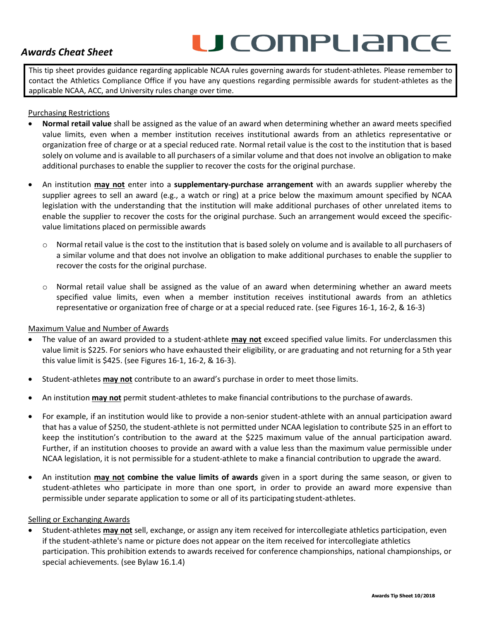# *Awards Cheat Sheet*

# U COMPLIANCE

This tip sheet provides guidance regarding applicable NCAA rules governing awards for student-athletes. Please remember to contact the Athletics Compliance Office if you have any questions regarding permissible awards for student-athletes as the applicable NCAA, ACC, and University rules change over time.

### Purchasing Restrictions

- **Normal retail value** shall be assigned as the value of an award when determining whether an award meets specified value limits, even when a member institution receives institutional awards from an athletics representative or organization free of charge or at a special reduced rate. Normal retail value is the cost to the institution that is based solely on volume and is available to all purchasers of a similar volume and that does not involve an obligation to make additional purchases to enable the supplier to recover the costs for the original purchase.
- An institution **may not** enter into a **supplementary-purchase arrangement** with an awards supplier whereby the supplier agrees to sell an award (e.g., a watch or ring) at a price below the maximum amount specified by NCAA legislation with the understanding that the institution will make additional purchases of other unrelated items to enable the supplier to recover the costs for the original purchase. Such an arrangement would exceed the specificvalue limitations placed on permissible awards
	- o Normal retail value is the cost to the institution that is based solely on volume and is available to all purchasers of a similar volume and that does not involve an obligation to make additional purchases to enable the supplier to recover the costs for the original purchase.
	- o Normal retail value shall be assigned as the value of an award when determining whether an award meets specified value limits, even when a member institution receives institutional awards from an athletics representative or organization free of charge or at a special reduced rate. (see Figures 16-1, 16-2, & 16-3)

### Maximum Value and Number of Awards

- The value of an award provided to a student-athlete **may not** exceed specified value limits. For underclassmen this value limit is \$225. For seniors who have exhausted their eligibility, or are graduating and not returning for a 5th year this value limit is \$425. (see Figures 16-1, 16-2, & 16-3).
- Student-athletes **may not** contribute to an award's purchase in order to meet those limits.
- An institution **may not** permit student-athletes to make financial contributions to the purchase of awards.
- For example, if an institution would like to provide a non-senior student-athlete with an annual participation award that has a value of \$250, the student-athlete is not permitted under NCAA legislation to contribute \$25 in an effort to keep the institution's contribution to the award at the \$225 maximum value of the annual participation award. Further, if an institution chooses to provide an award with a value less than the maximum value permissible under NCAA legislation, it is not permissible for a student-athlete to make a financial contribution to upgrade the award.
- An institution **may not combine the value limits of awards** given in a sport during the same season, or given to student-athletes who participate in more than one sport, in order to provide an award more expensive than permissible under separate application to some or all of its participating student-athletes.

### Selling or Exchanging Awards

• Student-athletes **may not** sell, exchange, or assign any item received for intercollegiate athletics participation, even if the student-athlete's name or picture does not appear on the item received for intercollegiate athletics participation. This prohibition extends to awards received for conference championships, national championships, or special achievements. (see Bylaw 16.1.4)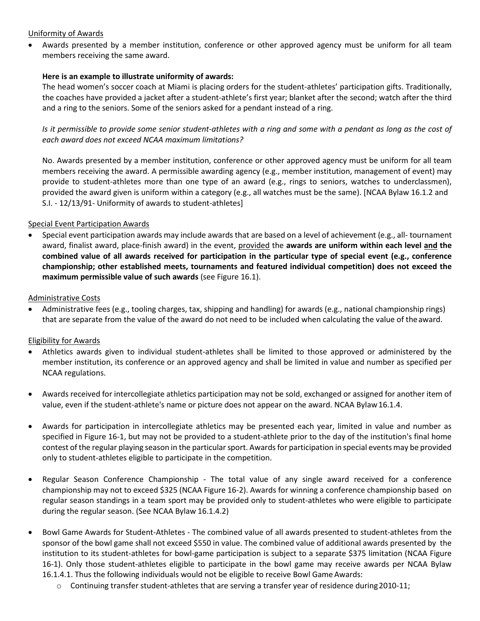# Uniformity of Awards

• Awards presented by a member institution, conference or other approved agency must be uniform for all team members receiving the same award.

# **Here is an example to illustrate uniformity of awards:**

The head women's soccer coach at Miami is placing orders for the student-athletes' participation gifts. Traditionally, the coaches have provided a jacket after a student-athlete's first year; blanket after the second; watch after the third and a ring to the seniors. Some of the seniors asked for a pendant instead of a ring.

*Is it permissible to provide some senior student-athletes with a ring and some with a pendant as long as the cost of each award does not exceed NCAA maximum limitations?*

No. Awards presented by a member institution, conference or other approved agency must be uniform for all team members receiving the award. A permissible awarding agency (e.g., member institution, management of event) may provide to student-athletes more than one type of an award (e.g., rings to seniors, watches to underclassmen), provided the award given is uniform within a category (e.g., all watches must be the same). [NCAA Bylaw 16.1.2 and S.I. - 12/13/91- Uniformity of awards to student-athletes]

# Special Event Participation Awards

• Special event participation awards may include awards that are based on a level of achievement (e.g., all- tournament award, finalist award, place-finish award) in the event, provided the **awards are uniform within each level and the combined value of all awards received for participation in the particular type of special event (e.g., conference championship; other established meets, tournaments and featured individual competition) does not exceed the maximum permissible value of such awards** (see Figure 16.1).

### Administrative Costs

• Administrative fees (e.g., tooling charges, tax, shipping and handling) for awards (e.g., national championship rings) that are separate from the value of the award do not need to be included when calculating the value of the award.

# Eligibility for Awards

- Athletics awards given to individual student-athletes shall be limited to those approved or administered by the member institution, its conference or an approved agency and shall be limited in value and number as specified per NCAA regulations.
- Awards received for intercollegiate athletics participation may not be sold, exchanged or assigned for another item of value, even if the student-athlete's name or picture does not appear on the award. NCAA Bylaw16.1.4.
- Awards for participation in intercollegiate athletics may be presented each year, limited in value and number as specified in Figure 16-1, but may not be provided to a student-athlete prior to the day of the institution's final home contest of the regular playing season in the particular sport. Awards for participation in special events may be provided only to student-athletes eligible to participate in the competition.
- Regular Season Conference Championship The total value of any single award received for a conference championship may not to exceed \$325 (NCAA Figure 16-2). Awards for winning a conference championship based on regular season standings in a team sport may be provided only to student-athletes who were eligible to participate during the regular season. (See NCAA Bylaw 16.1.4.2)
- Bowl Game Awards for Student-Athletes The combined value of all awards presented to student-athletes from the sponsor of the bowl game shall not exceed \$550 in value. The combined value of additional awards presented by the institution to its student-athletes for bowl-game participation is subject to a separate \$375 limitation (NCAA Figure 16-1). Only those student-athletes eligible to participate in the bowl game may receive awards per NCAA Bylaw 16.1.4.1. Thus the following individuals would not be eligible to receive Bowl Game Awards:
	- $\circ$  Continuing transfer student-athletes that are serving a transfer year of residence during 2010-11;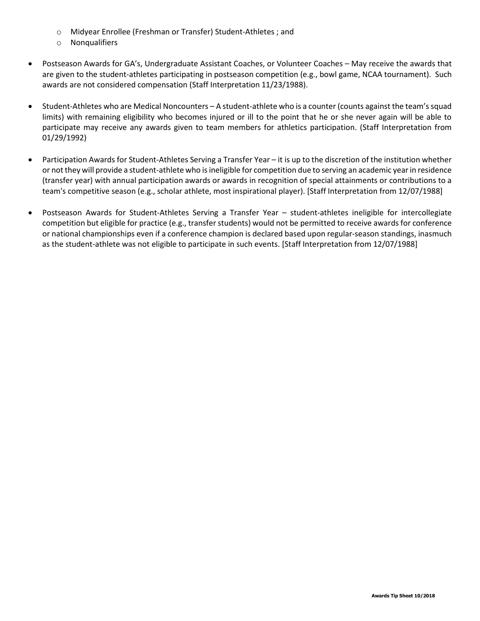- o Midyear Enrollee (Freshman or Transfer) Student-Athletes ; and
- o Nonqualifiers
- Postseason Awards for GA's, Undergraduate Assistant Coaches, or Volunteer Coaches May receive the awards that are given to the student-athletes participating in postseason competition (e.g., bowl game, NCAA tournament). Such awards are not considered compensation (Staff Interpretation 11/23/1988).
- Student-Athletes who are Medical Noncounters A student-athlete who is a counter (counts against the team's squad limits) with remaining eligibility who becomes injured or ill to the point that he or she never again will be able to participate may receive any awards given to team members for athletics participation. (Staff Interpretation from 01/29/1992)
- Participation Awards for Student-Athletes Serving a Transfer Year it is up to the discretion of the institution whether or not they will provide a student-athlete who is ineligible for competition due to serving an academic year in residence (transfer year) with annual participation awards or awards in recognition of special attainments or contributions to a team's competitive season (e.g., scholar athlete, most inspirational player). [Staff Interpretation from 12/07/1988]
- Postseason Awards for Student-Athletes Serving a Transfer Year student-athletes ineligible for intercollegiate competition but eligible for practice (e.g., transfer students) would not be permitted to receive awards for conference or national championships even if a conference champion is declared based upon regular-season standings, inasmuch as the student-athlete was not eligible to participate in such events. [Staff Interpretation from 12/07/1988]